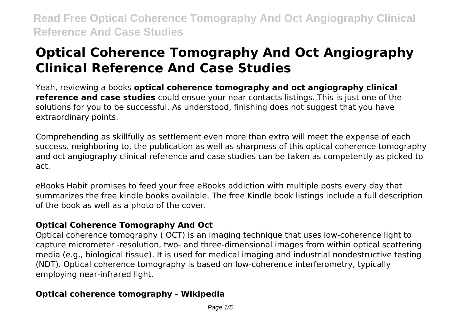# **Optical Coherence Tomography And Oct Angiography Clinical Reference And Case Studies**

Yeah, reviewing a books **optical coherence tomography and oct angiography clinical reference and case studies** could ensue your near contacts listings. This is just one of the solutions for you to be successful. As understood, finishing does not suggest that you have extraordinary points.

Comprehending as skillfully as settlement even more than extra will meet the expense of each success. neighboring to, the publication as well as sharpness of this optical coherence tomography and oct angiography clinical reference and case studies can be taken as competently as picked to act.

eBooks Habit promises to feed your free eBooks addiction with multiple posts every day that summarizes the free kindle books available. The free Kindle book listings include a full description of the book as well as a photo of the cover.

## **Optical Coherence Tomography And Oct**

Optical coherence tomography ( OCT) is an imaging technique that uses low-coherence light to capture micrometer -resolution, two- and three-dimensional images from within optical scattering media (e.g., biological tissue). It is used for medical imaging and industrial nondestructive testing (NDT). Optical coherence tomography is based on low-coherence interferometry, typically employing near-infrared light.

# **Optical coherence tomography - Wikipedia**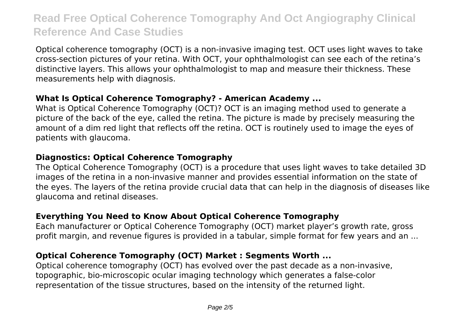Optical coherence tomography (OCT) is a non-invasive imaging test. OCT uses light waves to take cross-section pictures of your retina. With OCT, your ophthalmologist can see each of the retina's distinctive layers. This allows your ophthalmologist to map and measure their thickness. These measurements help with diagnosis.

#### **What Is Optical Coherence Tomography? - American Academy ...**

What is Optical Coherence Tomography (OCT)? OCT is an imaging method used to generate a picture of the back of the eye, called the retina. The picture is made by precisely measuring the amount of a dim red light that reflects off the retina. OCT is routinely used to image the eyes of patients with glaucoma.

#### **Diagnostics: Optical Coherence Tomography**

The Optical Coherence Tomography (OCT) is a procedure that uses light waves to take detailed 3D images of the retina in a non-invasive manner and provides essential information on the state of the eyes. The layers of the retina provide crucial data that can help in the diagnosis of diseases like glaucoma and retinal diseases.

## **Everything You Need to Know About Optical Coherence Tomography**

Each manufacturer or Optical Coherence Tomography (OCT) market player's growth rate, gross profit margin, and revenue figures is provided in a tabular, simple format for few years and an ...

## **Optical Coherence Tomography (OCT) Market : Segments Worth ...**

Optical coherence tomography (OCT) has evolved over the past decade as a non-invasive, topographic, bio-microscopic ocular imaging technology which generates a false-color representation of the tissue structures, based on the intensity of the returned light.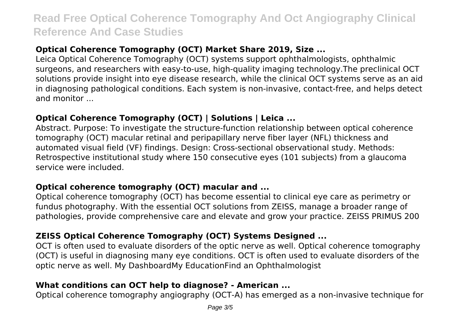## **Optical Coherence Tomography (OCT) Market Share 2019, Size ...**

Leica Optical Coherence Tomography (OCT) systems support ophthalmologists, ophthalmic surgeons, and researchers with easy-to-use, high-quality imaging technology.The preclinical OCT solutions provide insight into eye disease research, while the clinical OCT systems serve as an aid in diagnosing pathological conditions. Each system is non-invasive, contact-free, and helps detect and monitor ...

#### **Optical Coherence Tomography (OCT) | Solutions | Leica ...**

Abstract. Purpose: To investigate the structure-function relationship between optical coherence tomography (OCT) macular retinal and peripapillary nerve fiber layer (NFL) thickness and automated visual field (VF) findings. Design: Cross-sectional observational study. Methods: Retrospective institutional study where 150 consecutive eyes (101 subjects) from a glaucoma service were included.

#### **Optical coherence tomography (OCT) macular and ...**

Optical coherence tomography (OCT) has become essential to clinical eye care as perimetry or fundus photography. With the essential OCT solutions from ZEISS, manage a broader range of pathologies, provide comprehensive care and elevate and grow your practice. ZEISS PRIMUS 200

#### **ZEISS Optical Coherence Tomography (OCT) Systems Designed ...**

OCT is often used to evaluate disorders of the optic nerve as well. Optical coherence tomography (OCT) is useful in diagnosing many eye conditions. OCT is often used to evaluate disorders of the optic nerve as well. My DashboardMy EducationFind an Ophthalmologist

#### **What conditions can OCT help to diagnose? - American ...**

Optical coherence tomography angiography (OCT-A) has emerged as a non-invasive technique for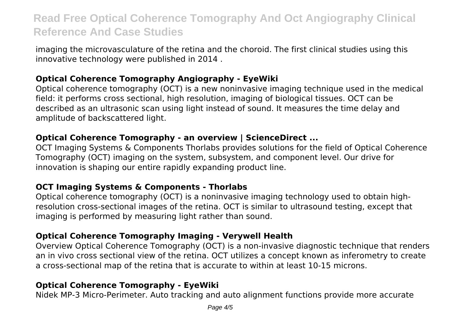imaging the microvasculature of the retina and the choroid. The first clinical studies using this innovative technology were published in 2014 .

#### **Optical Coherence Tomography Angiography - EyeWiki**

Optical coherence tomography (OCT) is a new noninvasive imaging technique used in the medical field: it performs cross sectional, high resolution, imaging of biological tissues. OCT can be described as an ultrasonic scan using light instead of sound. It measures the time delay and amplitude of backscattered light.

#### **Optical Coherence Tomography - an overview | ScienceDirect ...**

OCT Imaging Systems & Components Thorlabs provides solutions for the field of Optical Coherence Tomography (OCT) imaging on the system, subsystem, and component level. Our drive for innovation is shaping our entire rapidly expanding product line.

#### **OCT Imaging Systems & Components - Thorlabs**

Optical coherence tomography (OCT) is a noninvasive imaging technology used to obtain highresolution cross-sectional images of the retina. OCT is similar to ultrasound testing, except that imaging is performed by measuring light rather than sound.

#### **Optical Coherence Tomography Imaging - Verywell Health**

Overview Optical Coherence Tomography (OCT) is a non-invasive diagnostic technique that renders an in vivo cross sectional view of the retina. OCT utilizes a concept known as inferometry to create a cross-sectional map of the retina that is accurate to within at least 10-15 microns.

## **Optical Coherence Tomography - EyeWiki**

Nidek MP-3 Micro-Perimeter. Auto tracking and auto alignment functions provide more accurate